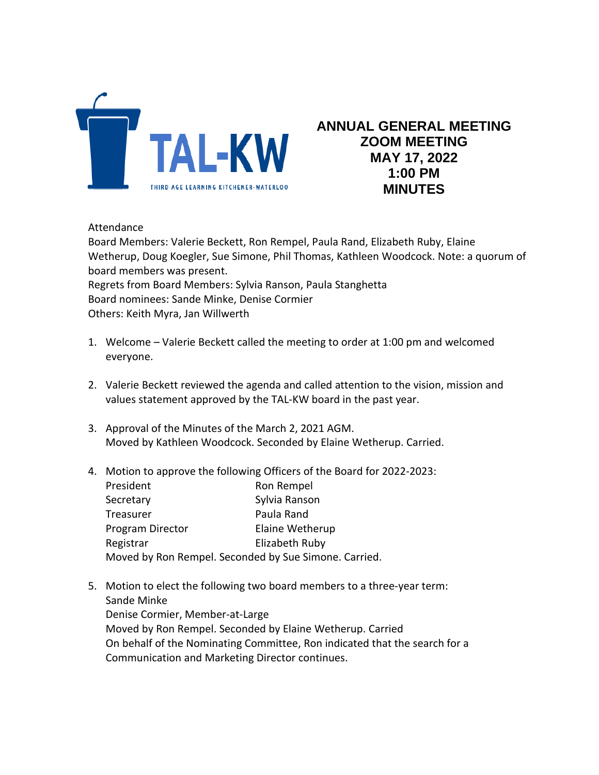

## **ANNUAL GENERAL MEETING ZOOM MEETING MAY 17, 2022 1:00 PM MINUTES**

## Attendance

Board Members: Valerie Beckett, Ron Rempel, Paula Rand, Elizabeth Ruby, Elaine Wetherup, Doug Koegler, Sue Simone, Phil Thomas, Kathleen Woodcock. Note: a quorum of board members was present. Regrets from Board Members: Sylvia Ranson, Paula Stanghetta Board nominees: Sande Minke, Denise Cormier Others: Keith Myra, Jan Willwerth

- 1. Welcome Valerie Beckett called the meeting to order at 1:00 pm and welcomed everyone.
- 2. Valerie Beckett reviewed the agenda and called attention to the vision, mission and values statement approved by the TAL-KW board in the past year.
- 3. Approval of the Minutes of the March 2, 2021 AGM. Moved by Kathleen Woodcock. Seconded by Elaine Wetherup. Carried.
- 4. Motion to approve the following Officers of the Board for 2022-2023:

| President                                             |  | Ron Rempel      |
|-------------------------------------------------------|--|-----------------|
| Secretary                                             |  | Sylvia Ranson   |
| Treasurer                                             |  | Paula Rand      |
| Program Director                                      |  | Elaine Wetherup |
| Registrar                                             |  | Elizabeth Ruby  |
| Moved by Ron Rempel. Seconded by Sue Simone. Carried. |  |                 |

5. Motion to elect the following two board members to a three-year term: Sande Minke Denise Cormier, Member-at-Large Moved by Ron Rempel. Seconded by Elaine Wetherup. Carried On behalf of the Nominating Committee, Ron indicated that the search for a Communication and Marketing Director continues.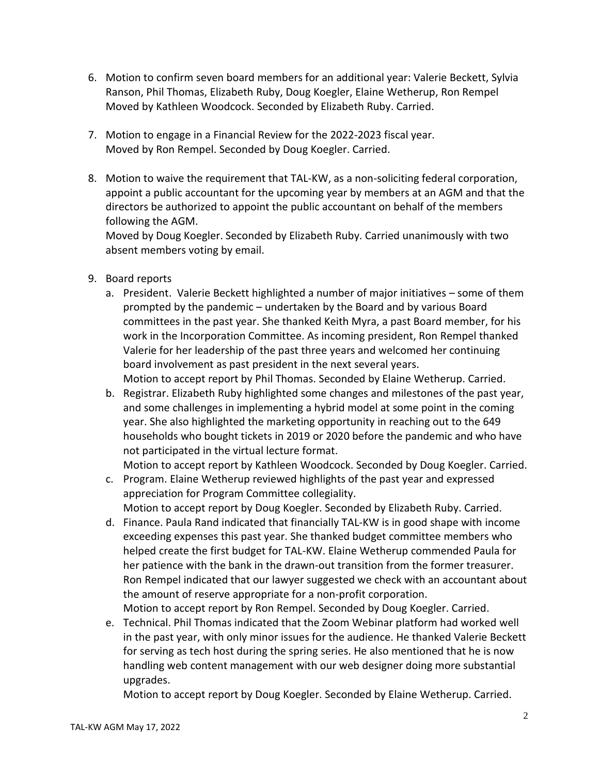- 6. Motion to confirm seven board members for an additional year: Valerie Beckett, Sylvia Ranson, Phil Thomas, Elizabeth Ruby, Doug Koegler, Elaine Wetherup, Ron Rempel Moved by Kathleen Woodcock. Seconded by Elizabeth Ruby. Carried.
- 7. Motion to engage in a Financial Review for the 2022-2023 fiscal year. Moved by Ron Rempel. Seconded by Doug Koegler. Carried.
- 8. Motion to waive the requirement that TAL-KW, as a non-soliciting federal corporation, appoint a public accountant for the upcoming year by members at an AGM and that the directors be authorized to appoint the public accountant on behalf of the members following the AGM.

Moved by Doug Koegler. Seconded by Elizabeth Ruby. Carried unanimously with two absent members voting by email.

- 9. Board reports
	- a. President. Valerie Beckett highlighted a number of major initiatives some of them prompted by the pandemic – undertaken by the Board and by various Board committees in the past year. She thanked Keith Myra, a past Board member, for his work in the Incorporation Committee. As incoming president, Ron Rempel thanked Valerie for her leadership of the past three years and welcomed her continuing board involvement as past president in the next several years. Motion to accept report by Phil Thomas. Seconded by Elaine Wetherup. Carried.
	- b. Registrar. Elizabeth Ruby highlighted some changes and milestones of the past year, and some challenges in implementing a hybrid model at some point in the coming year. She also highlighted the marketing opportunity in reaching out to the 649 households who bought tickets in 2019 or 2020 before the pandemic and who have not participated in the virtual lecture format.

Motion to accept report by Kathleen Woodcock. Seconded by Doug Koegler. Carried.

- c. Program. Elaine Wetherup reviewed highlights of the past year and expressed appreciation for Program Committee collegiality. Motion to accept report by Doug Koegler. Seconded by Elizabeth Ruby. Carried.
- d. Finance. Paula Rand indicated that financially TAL-KW is in good shape with income exceeding expenses this past year. She thanked budget committee members who helped create the first budget for TAL-KW. Elaine Wetherup commended Paula for her patience with the bank in the drawn-out transition from the former treasurer. Ron Rempel indicated that our lawyer suggested we check with an accountant about the amount of reserve appropriate for a non-profit corporation. Motion to accept report by Ron Rempel. Seconded by Doug Koegler. Carried.
- e. Technical. Phil Thomas indicated that the Zoom Webinar platform had worked well in the past year, with only minor issues for the audience. He thanked Valerie Beckett for serving as tech host during the spring series. He also mentioned that he is now handling web content management with our web designer doing more substantial upgrades.

Motion to accept report by Doug Koegler. Seconded by Elaine Wetherup. Carried.